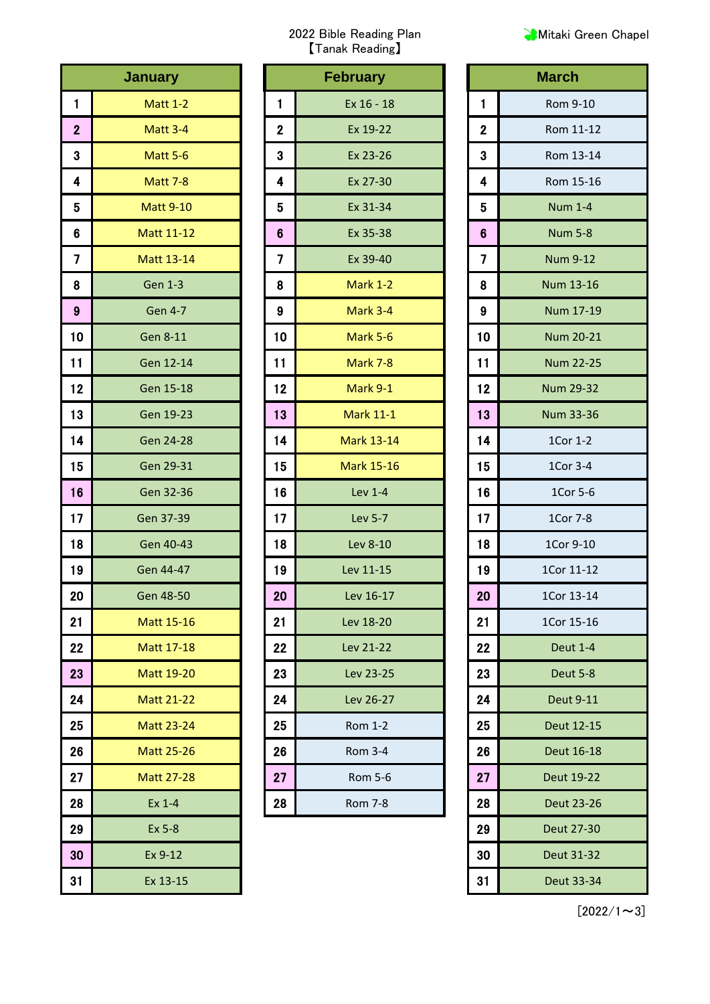| <b>Mitaki Green Chapel</b> |
|----------------------------|
|                            |

| <b>January</b>          |                   |                 | <b>February</b>   |                         | <b>March</b>     |  |
|-------------------------|-------------------|-----------------|-------------------|-------------------------|------------------|--|
| 1                       | <b>Matt 1-2</b>   | 1               | Ex 16 - 18        | 1                       | Rom 9-10         |  |
| $\mathbf{2}$            | Matt 3-4          | $\mathbf 2$     | Ex 19-22          | $\boldsymbol{2}$        | Rom 11-12        |  |
| 3                       | Matt 5-6          | 3               | Ex 23-26          | 3                       | Rom 13-14        |  |
| 4                       | <b>Matt 7-8</b>   | 4               | Ex 27-30          | $\overline{\mathbf{4}}$ | Rom 15-16        |  |
| 5                       | <b>Matt 9-10</b>  | 5               | Ex 31-34          | 5                       | <b>Num 1-4</b>   |  |
| 6                       | Matt 11-12        | $6\phantom{1}6$ | Ex 35-38          | $6\phantom{1}6$         | <b>Num 5-8</b>   |  |
| $\overline{\mathbf{z}}$ | Matt 13-14        | $\overline{7}$  | Ex 39-40          | 7                       | <b>Num 9-12</b>  |  |
| 8                       | <b>Gen 1-3</b>    | 8               | <b>Mark 1-2</b>   | 8                       | Num 13-16        |  |
| 9                       | <b>Gen 4-7</b>    | 9               | Mark 3-4          | 9                       | Num 17-19        |  |
| 10                      | Gen 8-11          | 10              | Mark 5-6          | 10                      | <b>Num 20-21</b> |  |
| 11                      | Gen 12-14         | 11              | <b>Mark 7-8</b>   | 11                      | <b>Num 22-25</b> |  |
| 12                      | Gen 15-18         | 12              | Mark 9-1          | 12                      | Num 29-32        |  |
| 13                      | Gen 19-23         | 13              | <b>Mark 11-1</b>  | 13                      | Num 33-36        |  |
| 14                      | Gen 24-28         | 14              | <b>Mark 13-14</b> | 14                      | 1Cor 1-2         |  |
| 15                      | Gen 29-31         | 15              | <b>Mark 15-16</b> | 15                      | 1Cor 3-4         |  |
| 16                      | Gen 32-36         | 16              | Lev 1-4           | 16                      | 1Cor 5-6         |  |
| 17                      | Gen 37-39         | 17              | <b>Lev 5-7</b>    | 17                      | 1Cor 7-8         |  |
| 18                      | Gen 40-43         | 18              | Lev 8-10          | 18                      | 1Cor 9-10        |  |
| 19                      | Gen 44-47         | 19              | Lev 11-15         | 19                      | 1Cor 11-12       |  |
| 20                      | Gen 48-50         | 20              | Lev 16-17         | 20                      | 1Cor 13-14       |  |
| 21                      | Matt 15-16        | 21              | Lev 18-20         | 21                      | 1Cor 15-16       |  |
| 22                      | Matt 17-18        | 22              | Lev 21-22         | 22                      | <b>Deut 1-4</b>  |  |
| 23                      | Matt 19-20        | 23              | Lev 23-25         | 23                      | Deut 5-8         |  |
| 24                      | <b>Matt 21-22</b> | 24              | Lev 26-27         | 24                      | Deut 9-11        |  |
| 25                      | Matt 23-24        | 25              | <b>Rom 1-2</b>    | 25                      | Deut 12-15       |  |
| 26                      | <b>Matt 25-26</b> | 26              | <b>Rom 3-4</b>    | 26                      | Deut 16-18       |  |
| 27                      | <b>Matt 27-28</b> | 27              | Rom 5-6           | 27                      | Deut 19-22       |  |
| 28                      | Ex 1-4            | 28              | <b>Rom 7-8</b>    | 28                      | Deut 23-26       |  |
| 29                      | Ex 5-8            |                 |                   | 29                      | Deut 27-30       |  |
| 30                      | Ex 9-12           |                 |                   | 30                      | Deut 31-32       |  |
| 31                      | Ex 13-15          |                 |                   | 31                      | Deut 33-34       |  |

| <b>January</b>          |                   |                | <b>February</b>   |                 | <b>March</b>     |
|-------------------------|-------------------|----------------|-------------------|-----------------|------------------|
| $\mathbf{1}$            | <b>Matt 1-2</b>   | 1              | Ex 16 - 18        | 1               | Rom 9-10         |
| $\mathbf{2}$            | Matt 3-4          | $\mathbf 2$    | Ex 19-22          | $\mathbf 2$     | Rom 11-12        |
| $\mathbf{3}$            | Matt 5-6          | 3              | Ex 23-26          | 3               | Rom 13-14        |
| 4                       | <b>Matt 7-8</b>   | 4              | Ex 27-30          | 4               | Rom 15-16        |
| 5                       | <b>Matt 9-10</b>  | 5              | Ex 31-34          | 5               | <b>Num 1-4</b>   |
| $6\phantom{1}$          | Matt 11-12        | 6              | Ex 35-38          | $6\phantom{1}6$ | <b>Num 5-8</b>   |
| $\overline{\mathbf{z}}$ | Matt 13-14        | $\overline{7}$ | Ex 39-40          | 7               | <b>Num 9-12</b>  |
| 8                       | <b>Gen 1-3</b>    | 8              | <b>Mark 1-2</b>   | 8               | Num 13-16        |
| 9                       | <b>Gen 4-7</b>    | 9              | Mark 3-4          | 9               | Num 17-19        |
| 10                      | Gen 8-11          | 10             | Mark 5-6          | 10              | <b>Num 20-21</b> |
| 11                      | Gen 12-14         | 11             | Mark 7-8          | 11              | <b>Num 22-25</b> |
| 12                      | Gen 15-18         | 12             | Mark 9-1          | 12              | Num 29-32        |
| 13                      | Gen 19-23         | 13             | <b>Mark 11-1</b>  | 13              | Num 33-36        |
| 14                      | Gen 24-28         | 14             | <b>Mark 13-14</b> | 14              | 1Cor 1-2         |
| 15                      | Gen 29-31         | 15             | <b>Mark 15-16</b> | 15              | 1Cor 3-4         |
| 16                      | Gen 32-36         | 16             | Lev 1-4           | 16              | 1Cor 5-6         |
| 17                      | Gen 37-39         | 17             | <b>Lev 5-7</b>    | 17              | 1Cor 7-8         |
| 18                      | Gen 40-43         | 18             | Lev 8-10          | 18              | 1Cor 9-10        |
| 19                      | Gen 44-47         | 19             | Lev 11-15         | 19              | 1Cor 11-12       |
| 20                      | Gen 48-50         | 20             | Lev 16-17         | 20              | 1Cor 13-14       |
| 21                      | Matt 15-16        | 21             | Lev 18-20         | 21              | 1Cor 15-16       |
| 22                      | Matt 17-18        | 22             | Lev 21-22         | 22              | <b>Deut 1-4</b>  |
| 23                      | Matt 19-20        | 23             | Lev 23-25         | 23              | Deut 5-8         |
| 24                      | <b>Matt 21-22</b> | 24             | Lev 26-27         | 24              | Deut 9-11        |
| 25                      | <b>Matt 23-24</b> | 25             | Rom 1-2           | 25              | Deut 12-15       |
| 26                      | Matt 25-26        | 26             | Rom 3-4           | 26              | Deut 16-18       |
| 27                      | Matt 27-28        | 27             | Rom 5-6           | 27              | Deut 19-22       |
| 28                      | Ex 1-4            | 28             | <b>Rom 7-8</b>    | 28              | Deut 23-26       |

|             | <b>March</b>      |
|-------------|-------------------|
| 1           | Rom 9-10          |
| $\mathbf 2$ | Rom 11-12         |
| 3           | Rom 13-14         |
| 4           | Rom 15-16         |
| 5           | <b>Num 1-4</b>    |
| 6           | <b>Num 5-8</b>    |
| 7           | <b>Num 9-12</b>   |
| 8           | Num 13-16         |
| 9           | Num 17-19         |
| 10          | Num 20-21         |
| 11          | <b>Num 22-25</b>  |
| 12          | <b>Num 29-32</b>  |
| 13          | Num 33-36         |
| 14          | 1Cor 1-2          |
| 15          | 1Cor 3-4          |
| 16          | 1Cor 5-6          |
| 17          | 1Cor 7-8          |
| 18          | 1Cor 9-10         |
| 19          | 1Cor 11-12        |
| 20          | 1Cor 13-14        |
| 21          | 1Cor 15-16        |
| 22          | Deut 1-4          |
| 23          | Deut 5-8          |
| 24          | <b>Deut 9-11</b>  |
| 25          | Deut 12-15        |
| 26          | Deut 16-18        |
| 27          | <b>Deut 19-22</b> |
| 28          | Deut 23-26        |
| 29          | Deut 27-30        |
| 30          | Deut 31-32        |
| 31          | Deut 33-34        |

 $[2022/1 \sim 3]$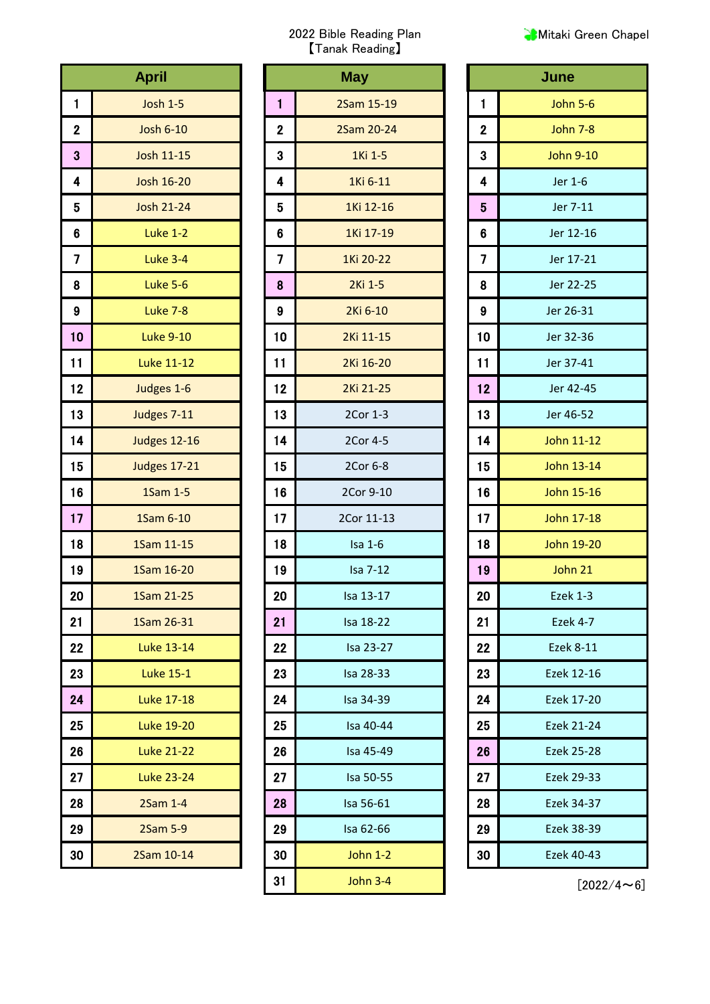| <b>Mitaki Green Chapel</b> |  |  |
|----------------------------|--|--|
|----------------------------|--|--|

|                | <b>April</b>        |
|----------------|---------------------|
| 1              | <b>Josh 1-5</b>     |
| $\overline{2}$ | <b>Josh 6-10</b>    |
| 3              | <b>Josh 11-15</b>   |
| 4              | Josh 16-20          |
| 5              | <b>Josh 21-24</b>   |
| 6              | <b>Luke 1-2</b>     |
| 7              | Luke 3-4            |
| 8              | Luke 5-6            |
| 9              | Luke 7-8            |
| 10             | <b>Luke 9-10</b>    |
| 11             | <b>Luke 11-12</b>   |
| 12             | Judges 1-6          |
| 13             | Judges 7-11         |
| 14             | <b>Judges 12-16</b> |
| 15             | <b>Judges 17-21</b> |
| 16             | 1Sam 1-5            |
| 17             | 1Sam 6-10           |
| 18             | 1Sam 11-15          |
| 19             | 1Sam 16-20          |
| 20             | 1Sam 21-25          |
| 21             | 1Sam 26-31          |
| 22             | <b>Luke 13-14</b>   |
| 23             | <b>Luke 15-1</b>    |
| 24             | <b>Luke 17-18</b>   |
| 25             | <b>Luke 19-20</b>   |
| 26             | <b>Luke 21-22</b>   |
| 27             | <b>Luke 23-24</b>   |
| 28             | 2Sam 1-4            |
| 29             | 2Sam 5-9            |
| 30             | 2Sam 10-14          |

| <b>April</b>            |                     |                | <b>May</b>      |             | June              |
|-------------------------|---------------------|----------------|-----------------|-------------|-------------------|
| $\mathbf{1}$            | <b>Josh 1-5</b>     | 1              | 2Sam 15-19      | 1           | <b>John 5-6</b>   |
| $\boldsymbol{2}$        | <b>Josh 6-10</b>    | $\mathbf{2}$   | 2Sam 20-24      | $\mathbf 2$ | <b>John 7-8</b>   |
| $\mathbf{3}$            | Josh 11-15          | 3              | 1Ki 1-5         | 3           | <b>John 9-10</b>  |
| $\boldsymbol{4}$        | Josh 16-20          | 4              | 1Ki 6-11        | 4           | Jer 1-6           |
| $\overline{5}$          | <b>Josh 21-24</b>   | 5              | 1Ki 12-16       | 5           | Jer 7-11          |
| $6\phantom{1}6$         | <b>Luke 1-2</b>     | 6              | 1Ki 17-19       | 6           | Jer 12-16         |
| $\overline{\mathbf{z}}$ | Luke 3-4            | $\overline{7}$ | 1Ki 20-22       | 7           | Jer 17-21         |
| 8                       | Luke 5-6            | 8              | 2Ki 1-5         | 8           | Jer 22-25         |
| $9\,$                   | <b>Luke 7-8</b>     | 9              | 2Ki 6-10        | 9           | Jer 26-31         |
| 10                      | <b>Luke 9-10</b>    | 10             | 2Ki 11-15       | 10          | Jer 32-36         |
| 11                      | <b>Luke 11-12</b>   | 11             | 2Ki 16-20       | 11          | Jer 37-41         |
| 12                      | Judges 1-6          | 12             | 2Ki 21-25       | 12          | Jer 42-45         |
| 13                      | Judges 7-11         | 13             | 2Cor 1-3        | 13          | Jer 46-52         |
| 14                      | <b>Judges 12-16</b> | 14             | 2Cor 4-5        | 14          | John 11-12        |
| 15                      | <b>Judges 17-21</b> | 15             | 2Cor 6-8        | 15          | John 13-14        |
| 16                      | 1Sam 1-5            | 16             | 2Cor 9-10       | 16          | John 15-16        |
| 17                      | 1Sam 6-10           | 17             | 2Cor 11-13      | 17          | John 17-18        |
| 18                      | 1Sam 11-15          | 18             | $Isa 1-6$       | 18          | John 19-20        |
| 19                      | 1Sam 16-20          | 19             | Isa 7-12        | 19          | John 21           |
| 20                      | 1Sam 21-25          | 20             | Isa 13-17       | 20          | <b>Ezek 1-3</b>   |
| 21                      | 1Sam 26-31          | 21             | Isa 18-22       | 21          | Ezek 4-7          |
| 22                      | <b>Luke 13-14</b>   | 22             | Isa 23-27       | 22          | Ezek 8-11         |
| 23                      | <b>Luke 15-1</b>    | 23             | Isa 28-33       | 23          | Ezek 12-16        |
| 24                      | <b>Luke 17-18</b>   | 24             | Isa 34-39       | 24          | Ezek 17-20        |
| 25                      | <b>Luke 19-20</b>   | 25             | Isa 40-44       | 25          | Ezek 21-24        |
| 26                      | <b>Luke 21-22</b>   | 26             | Isa 45-49       | 26          | <b>Ezek 25-28</b> |
| 27                      | <b>Luke 23-24</b>   | 27             | Isa 50-55       | 27          | Ezek 29-33        |
| 28                      | 2Sam 1-4            | 28             | Isa 56-61       | 28          | Ezek 34-37        |
| 29                      | 2Sam 5-9            | 29             | Isa 62-66       | 29          | Ezek 38-39        |
| 30                      | 2Sam 10-14          | 30             | <b>John 1-2</b> | 30          | Ezek 40-43        |
|                         |                     | 31             | <b>John 3-4</b> |             | [202              |

|                | June              |
|----------------|-------------------|
| 1              | <b>John 5-6</b>   |
| $\overline{2}$ | <b>John 7-8</b>   |
| 3              | John 9-10         |
| 4              | Jer 1-6           |
| 5              | Jer 7-11          |
| 6              | Jer 12-16         |
| 7              | Jer 17-21         |
| 8              | Jer 22-25         |
| 9              | Jer 26-31         |
| 10             | Jer 32-36         |
| 11             | Jer 37-41         |
| 12             | Jer 42-45         |
| 13             | Jer 46-52         |
| 14             | John 11-12        |
| 15             | John 13-14        |
| 16             | John 15-16        |
| 17             | John 17-18        |
| 18             | John 19-20        |
| 19             | John 21           |
| 20             | <b>Ezek 1-3</b>   |
| 21             | Ezek 4-7          |
| 22             | <b>Ezek 8-11</b>  |
| 23             | Ezek 12-16        |
| 24             | Ezek 17-20        |
| 25             | Ezek 21-24        |
| 26             | <b>Ezek 25-28</b> |
| 27             | Ezek 29-33        |
| 28             | Ezek 34-37        |
| 29             | Ezek 38-39        |
| 30             | Ezek 40-43        |

 $[2022/4 \thicksim 6]$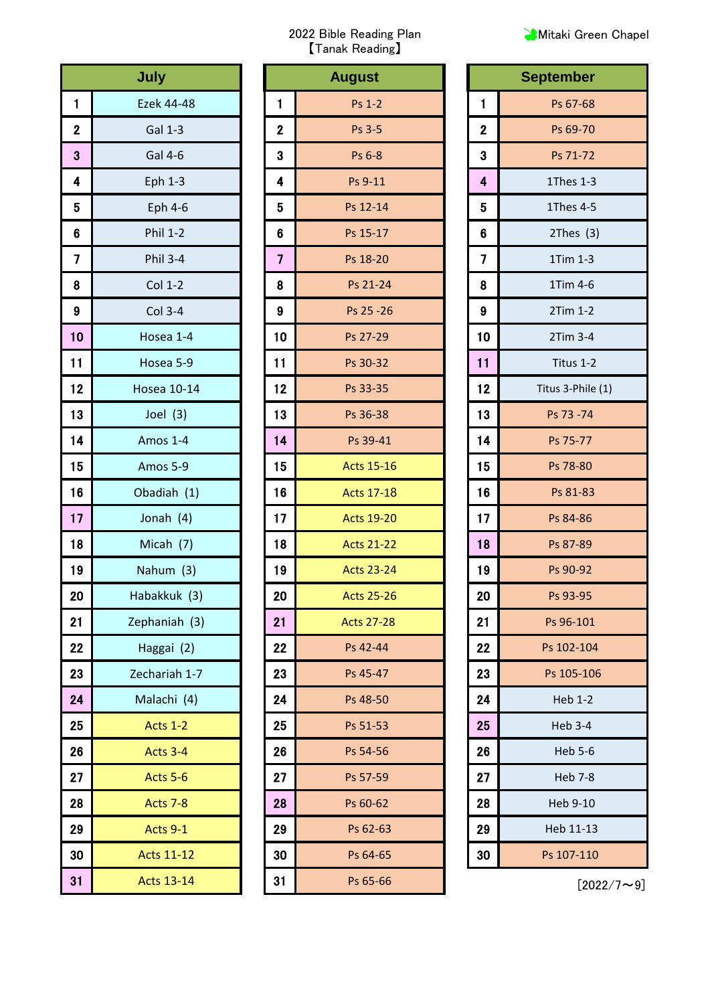|                | July              |
|----------------|-------------------|
| 1              | Ezek 44-48        |
| $\overline{2}$ | Gal 1-3           |
| 3              | <b>Gal 4-6</b>    |
| 4              | <b>Eph 1-3</b>    |
| 5              | Eph 4-6           |
| 6              | <b>Phil 1-2</b>   |
| 7              | <b>Phil 3-4</b>   |
| 8              | Col 1-2           |
| 9              | <b>Col 3-4</b>    |
| 10             | Hosea 1-4         |
| 11             | Hosea 5-9         |
| 12             | Hosea 10-14       |
| 13             | Joel (3)          |
| 14             | Amos 1-4          |
| 15             | Amos 5-9          |
| 16             | Obadiah (1)       |
| 17             | Jonah (4)         |
| 18             | Micah (7)         |
| 19             | Nahum (3)         |
| 20             | Habakkuk (3)      |
| 21             | Zephaniah (3)     |
| 22             | Haggai (2)        |
| 23             | Zechariah 1-7     |
| 24             | Malachi (4)       |
| 25             | Acts 1-2          |
| 26             | Acts 3-4          |
| 27             | Acts 5-6          |
| 28             | <b>Acts 7-8</b>   |
| 29             | Acts 9-1          |
| 30             | <b>Acts 11-12</b> |
| 31             | <b>Acts 13-14</b> |

| July               |   | <b>August</b>                                                            |                                                                                                                                  |             | <b>September</b>                                                                                                           |
|--------------------|---|--------------------------------------------------------------------------|----------------------------------------------------------------------------------------------------------------------------------|-------------|----------------------------------------------------------------------------------------------------------------------------|
| <b>Ezek 44-48</b>  | 1 | Ps 1-2                                                                   |                                                                                                                                  | 1           | Ps 67-68                                                                                                                   |
| <b>Gal 1-3</b>     |   | Ps 3-5                                                                   |                                                                                                                                  | $\mathbf 2$ | Ps 69-70                                                                                                                   |
| <b>Gal 4-6</b>     |   | Ps 6-8                                                                   |                                                                                                                                  | 3           | Ps 71-72                                                                                                                   |
| Eph 1-3            |   | Ps 9-11                                                                  |                                                                                                                                  | 4           | 1Thes 1-3                                                                                                                  |
| Eph 4-6            |   | Ps 12-14                                                                 |                                                                                                                                  | 5           | 1Thes 4-5                                                                                                                  |
| <b>Phil 1-2</b>    |   | Ps 15-17                                                                 |                                                                                                                                  | 6           | $2$ Thes $(3)$                                                                                                             |
| <b>Phil 3-4</b>    |   | Ps 18-20                                                                 |                                                                                                                                  | 7           | 1Tim 1-3                                                                                                                   |
| Col 1-2            |   | Ps 21-24                                                                 |                                                                                                                                  | 8           | 1Tim 4-6                                                                                                                   |
| Col 3-4            |   | Ps 25 - 26                                                               |                                                                                                                                  | 9           | 2Tim 1-2                                                                                                                   |
| Hosea 1-4          |   | Ps 27-29                                                                 |                                                                                                                                  |             | 2Tim 3-4                                                                                                                   |
| Hosea 5-9          |   | Ps 30-32                                                                 |                                                                                                                                  |             | Titus 1-2                                                                                                                  |
| <b>Hosea 10-14</b> |   | Ps 33-35                                                                 |                                                                                                                                  |             | Titus 3-Phile (1)                                                                                                          |
| Joel (3)           |   | Ps 36-38                                                                 |                                                                                                                                  |             | Ps 73 - 74                                                                                                                 |
| Amos 1-4           |   | Ps 39-41                                                                 |                                                                                                                                  |             | Ps 75-77                                                                                                                   |
| Amos 5-9           |   | <b>Acts 15-16</b>                                                        |                                                                                                                                  |             | Ps 78-80                                                                                                                   |
| Obadiah (1)        |   | <b>Acts 17-18</b>                                                        |                                                                                                                                  |             | Ps 81-83                                                                                                                   |
| Jonah $(4)$        |   | <b>Acts 19-20</b>                                                        |                                                                                                                                  |             | Ps 84-86                                                                                                                   |
| Micah (7)          |   | <b>Acts 21-22</b>                                                        |                                                                                                                                  |             | Ps 87-89                                                                                                                   |
| Nahum (3)          |   | <b>Acts 23-24</b>                                                        |                                                                                                                                  |             | Ps 90-92                                                                                                                   |
| Habakkuk (3)       |   | <b>Acts 25-26</b>                                                        |                                                                                                                                  |             | Ps 93-95                                                                                                                   |
| Zephaniah (3)      |   | <b>Acts 27-28</b>                                                        |                                                                                                                                  |             | Ps 96-101                                                                                                                  |
| Haggai (2)         |   | Ps 42-44                                                                 |                                                                                                                                  |             | Ps 102-104                                                                                                                 |
| Zechariah 1-7      |   | Ps 45-47                                                                 |                                                                                                                                  |             | Ps 105-106                                                                                                                 |
| Malachi (4)        |   | Ps 48-50                                                                 |                                                                                                                                  |             | <b>Heb 1-2</b>                                                                                                             |
| <b>Acts 1-2</b>    |   | Ps 51-53                                                                 |                                                                                                                                  |             | <b>Heb 3-4</b>                                                                                                             |
| Acts 3-4           |   | Ps 54-56                                                                 |                                                                                                                                  |             | Heb 5-6                                                                                                                    |
| <b>Acts 5-6</b>    |   | Ps 57-59                                                                 |                                                                                                                                  |             | <b>Heb 7-8</b>                                                                                                             |
| <b>Acts 7-8</b>    |   | Ps 60-62                                                                 |                                                                                                                                  |             | Heb 9-10                                                                                                                   |
| Acts 9-1           |   | Ps 62-63                                                                 |                                                                                                                                  |             | Heb 11-13                                                                                                                  |
| <b>Acts 11-12</b>  |   | Ps 64-65                                                                 |                                                                                                                                  |             | Ps 107-110                                                                                                                 |
| <b>Acts 13-14</b>  |   | Ps 65-66                                                                 |                                                                                                                                  |             | $[2022]$                                                                                                                   |
|                    |   | $\mathbf 2$<br>3<br>4<br>5<br>$6\phantom{1}$<br>$\overline{7}$<br>8<br>9 | 10<br>11<br>12<br>13<br>14<br>15<br>16<br>17<br>18<br>19<br>20<br>21<br>22<br>23<br>24<br>25<br>26<br>27<br>28<br>29<br>30<br>31 |             | 10<br>11<br>12<br>13<br>14<br>15<br>16<br>17<br>18<br>19<br>20<br>21<br>22<br>23<br>24<br>25<br>26<br>27<br>28<br>29<br>30 |

|                | <b>September</b>  |
|----------------|-------------------|
| 1              | Ps 67-68          |
| $\overline{2}$ | Ps 69-70          |
| 3              | Ps 71-72          |
| $\overline{4}$ | 1Thes 1-3         |
| 5              | 1Thes 4-5         |
| $6\phantom{a}$ | $2$ Thes $(3)$    |
| 7              | 1Tim 1-3          |
| 8              | 1Tim 4-6          |
| 9              | 2Tim 1-2          |
| 10             | 2Tim 3-4          |
| 11             | Titus 1-2         |
| 12             | Titus 3-Phile (1) |
| 13             | Ps 73 - 74        |
| 14             | Ps 75-77          |
| 15             | Ps 78-80          |
| 16             | Ps 81-83          |
| 17             | Ps 84-86          |
| 18             | Ps 87-89          |
| 19             | Ps 90-92          |
| 20             | Ps 93-95          |
| 21             | Ps 96-101         |
| 22             | Ps 102-104        |
| 23             | Ps 105-106        |
| 24             | <b>Heb 1-2</b>    |
| 25             | Heb 3-4           |
| 26             | Heb 5-6           |
| 27             | Heb 7-8           |
| 28             | Heb 9-10          |
| 29             | Heb 11-13         |
| 30             | Ps 107-110        |

 $[2022/7 \sim 9]$